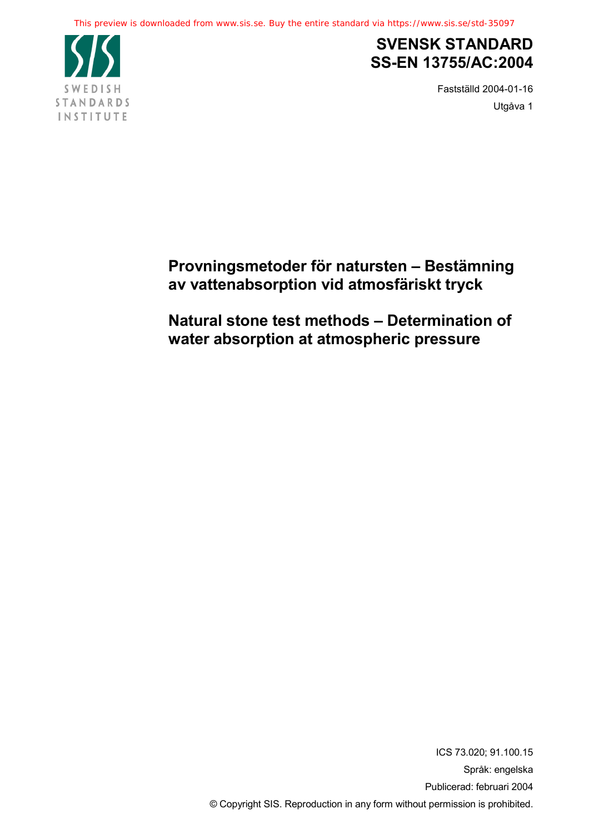

## **SVENSK STANDARD SS-EN 13755/AC:2004**

Fastställd 2004-01-16 Utgåva 1

### **Provningsmetoder för natursten – Bestämning av vattenabsorption vid atmosfäriskt tryck**

**Natural stone test methods – Determination of water absorption at atmospheric pressure**

> ICS 73.020; 91.100.15 Språk: engelska Publicerad: februari 2004 © Copyright SIS. Reproduction in any form without permission is prohibited.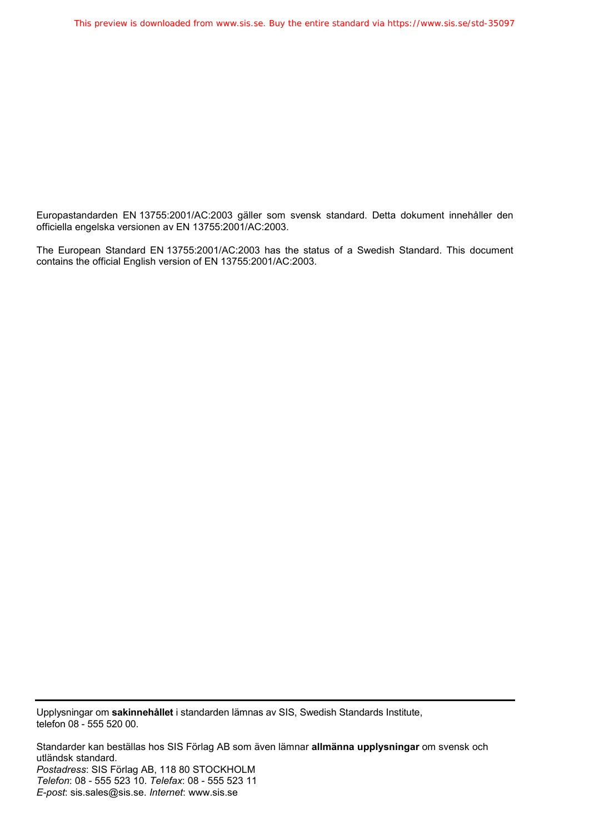Europastandarden EN 13755:2001/AC:2003 gäller som svensk standard. Detta dokument innehåller den officiella engelska versionen av EN 13755:2001/AC:2003.

The European Standard EN 13755:2001/AC:2003 has the status of a Swedish Standard. This document contains the official English version of EN 13755:2001/AC:2003.

Upplysningar om **sakinnehållet** i standarden lämnas av SIS, Swedish Standards Institute, telefon 08 - 555 520 00.

Standarder kan beställas hos SIS Förlag AB som även lämnar **allmänna upplysningar** om svensk och utländsk standard. *Postadress*: SIS Förlag AB, 118 80 STOCKHOLM *Telefon*: 08 - 555 523 10. *Telefax*: 08 - 555 523 11 *E-post*: sis.sales@sis.se. *Internet*: www.sis.se